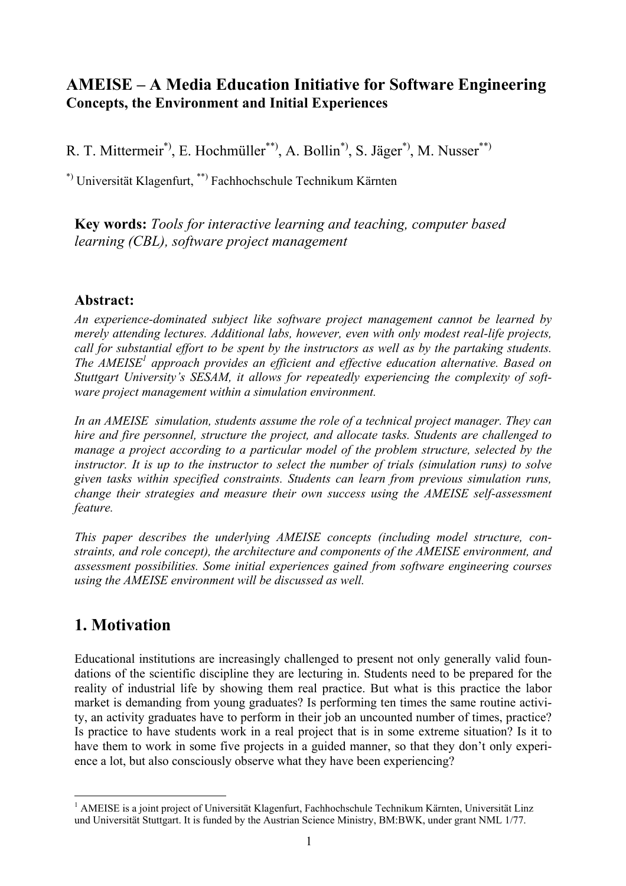### **AMEISE – A Media Education Initiative for Software Engineering Concepts, the Environment and Initial Experiences**

R. T. Mittermeir<sup>\*)</sup>, E. Hochmüller<sup>\*\*)</sup>, A. Bollin<sup>\*)</sup>, S. Jäger<sup>\*)</sup>, M. Nusser<sup>\*\*)</sup>

\*) Universität Klagenfurt, \*\*) Fachhochschule Technikum Kärnten

**Key words:** *Tools for interactive learning and teaching, computer based learning (CBL), software project management* 

### **Abstract:**

*An experience-dominated subject like software project management cannot be learned by merely attending lectures. Additional labs, however, even with only modest real-life projects, call for substantial effort to be spent by the instructors as well as by the partaking students. The AMEISE<sup>1</sup> approach provides an efficient and effective education alternative. Based on Stuttgart University's SESAM, it allows for repeatedly experiencing the complexity of software project management within a simulation environment.* 

*In an AMEISE simulation, students assume the role of a technical project manager. They can hire and fire personnel, structure the project, and allocate tasks. Students are challenged to manage a project according to a particular model of the problem structure, selected by the instructor. It is up to the instructor to select the number of trials (simulation runs) to solve given tasks within specified constraints. Students can learn from previous simulation runs, change their strategies and measure their own success using the AMEISE self-assessment feature.* 

*This paper describes the underlying AMEISE concepts (including model structure, constraints, and role concept), the architecture and components of the AMEISE environment, and assessment possibilities. Some initial experiences gained from software engineering courses using the AMEISE environment will be discussed as well.*

# **1. Motivation**

Educational institutions are increasingly challenged to present not only generally valid foundations of the scientific discipline they are lecturing in. Students need to be prepared for the reality of industrial life by showing them real practice. But what is this practice the labor market is demanding from young graduates? Is performing ten times the same routine activity, an activity graduates have to perform in their job an uncounted number of times, practice? Is practice to have students work in a real project that is in some extreme situation? Is it to have them to work in some five projects in a guided manner, so that they don't only experience a lot, but also consciously observe what they have been experiencing?

<sup>1</sup> <sup>1</sup> AMEISE is a joint project of Universität Klagenfurt, Fachhochschule Technikum Kärnten, Universität Linz und Universität Stuttgart. It is funded by the Austrian Science Ministry, BM:BWK, under grant NML 1/77.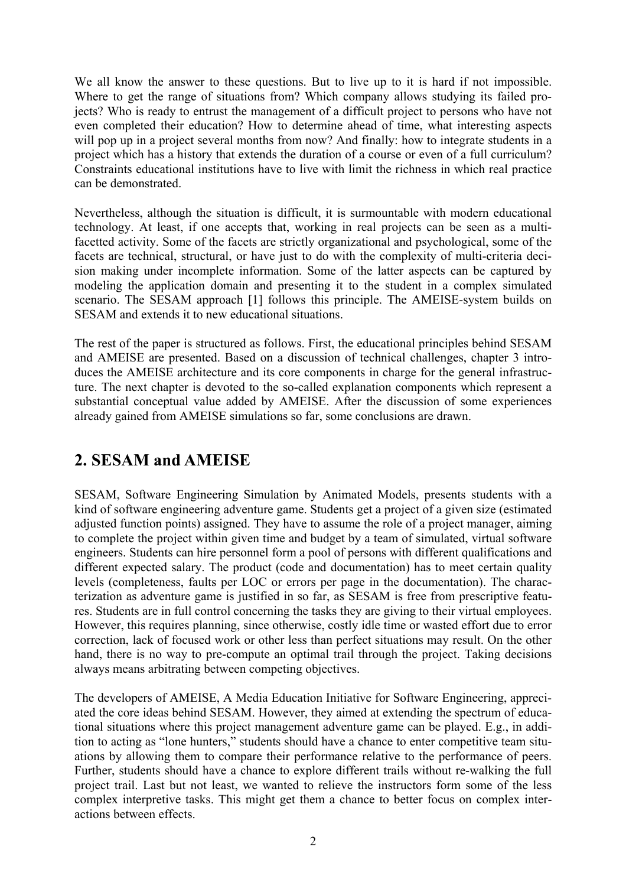We all know the answer to these questions. But to live up to it is hard if not impossible. Where to get the range of situations from? Which company allows studying its failed projects? Who is ready to entrust the management of a difficult project to persons who have not even completed their education? How to determine ahead of time, what interesting aspects will pop up in a project several months from now? And finally: how to integrate students in a project which has a history that extends the duration of a course or even of a full curriculum? Constraints educational institutions have to live with limit the richness in which real practice can be demonstrated.

Nevertheless, although the situation is difficult, it is surmountable with modern educational technology. At least, if one accepts that, working in real projects can be seen as a multifacetted activity. Some of the facets are strictly organizational and psychological, some of the facets are technical, structural, or have just to do with the complexity of multi-criteria decision making under incomplete information. Some of the latter aspects can be captured by modeling the application domain and presenting it to the student in a complex simulated scenario. The SESAM approach [1] follows this principle. The AMEISE-system builds on SESAM and extends it to new educational situations.

The rest of the paper is structured as follows. First, the educational principles behind SESAM and AMEISE are presented. Based on a discussion of technical challenges, chapter 3 introduces the AMEISE architecture and its core components in charge for the general infrastructure. The next chapter is devoted to the so-called explanation components which represent a substantial conceptual value added by AMEISE. After the discussion of some experiences already gained from AMEISE simulations so far, some conclusions are drawn.

## **2. SESAM and AMEISE**

SESAM, Software Engineering Simulation by Animated Models, presents students with a kind of software engineering adventure game. Students get a project of a given size (estimated adjusted function points) assigned. They have to assume the role of a project manager, aiming to complete the project within given time and budget by a team of simulated, virtual software engineers. Students can hire personnel form a pool of persons with different qualifications and different expected salary. The product (code and documentation) has to meet certain quality levels (completeness, faults per LOC or errors per page in the documentation). The characterization as adventure game is justified in so far, as SESAM is free from prescriptive features. Students are in full control concerning the tasks they are giving to their virtual employees. However, this requires planning, since otherwise, costly idle time or wasted effort due to error correction, lack of focused work or other less than perfect situations may result. On the other hand, there is no way to pre-compute an optimal trail through the project. Taking decisions always means arbitrating between competing objectives.

The developers of AMEISE, A Media Education Initiative for Software Engineering, appreciated the core ideas behind SESAM. However, they aimed at extending the spectrum of educational situations where this project management adventure game can be played. E.g., in addition to acting as "lone hunters," students should have a chance to enter competitive team situations by allowing them to compare their performance relative to the performance of peers. Further, students should have a chance to explore different trails without re-walking the full project trail. Last but not least, we wanted to relieve the instructors form some of the less complex interpretive tasks. This might get them a chance to better focus on complex interactions between effects.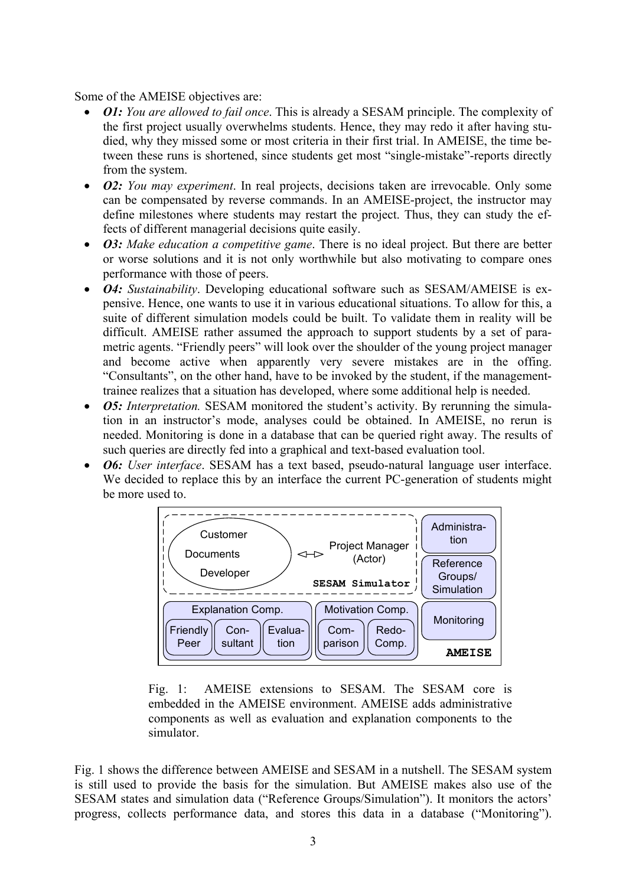#### Some of the AMEISE objectives are:

- *O1: You are allowed to fail once*. This is already a SESAM principle. The complexity of the first project usually overwhelms students. Hence, they may redo it after having studied, why they missed some or most criteria in their first trial. In AMEISE, the time between these runs is shortened, since students get most "single-mistake"-reports directly from the system.
- *O2: You may experiment*. In real projects, decisions taken are irrevocable. Only some can be compensated by reverse commands. In an AMEISE-project, the instructor may define milestones where students may restart the project. Thus, they can study the effects of different managerial decisions quite easily.
- *O3: Make education a competitive game*. There is no ideal project. But there are better or worse solutions and it is not only worthwhile but also motivating to compare ones performance with those of peers.
- *O4: Sustainability*. Developing educational software such as SESAM/AMEISE is expensive. Hence, one wants to use it in various educational situations. To allow for this, a suite of different simulation models could be built. To validate them in reality will be difficult. AMEISE rather assumed the approach to support students by a set of parametric agents. "Friendly peers" will look over the shoulder of the young project manager and become active when apparently very severe mistakes are in the offing. "Consultants", on the other hand, have to be invoked by the student, if the managementtrainee realizes that a situation has developed, where some additional help is needed.
- *O5: Interpretation.* SESAM monitored the student's activity. By rerunning the simulation in an instructor's mode, analyses could be obtained. In AMEISE, no rerun is needed. Monitoring is done in a database that can be queried right away. The results of such queries are directly fed into a graphical and text-based evaluation tool.
- *O6: User interface*. SESAM has a text based, pseudo-natural language user interface. We decided to replace this by an interface the current PC-generation of students might be more used to.



Fig. 1: AMEISE extensions to SESAM. The SESAM core is embedded in the AMEISE environment. AMEISE adds administrative components as well as evaluation and explanation components to the simulator.

Fig. 1 shows the difference between AMEISE and SESAM in a nutshell. The SESAM system is still used to provide the basis for the simulation. But AMEISE makes also use of the SESAM states and simulation data ("Reference Groups/Simulation"). It monitors the actors' progress, collects performance data, and stores this data in a database ("Monitoring").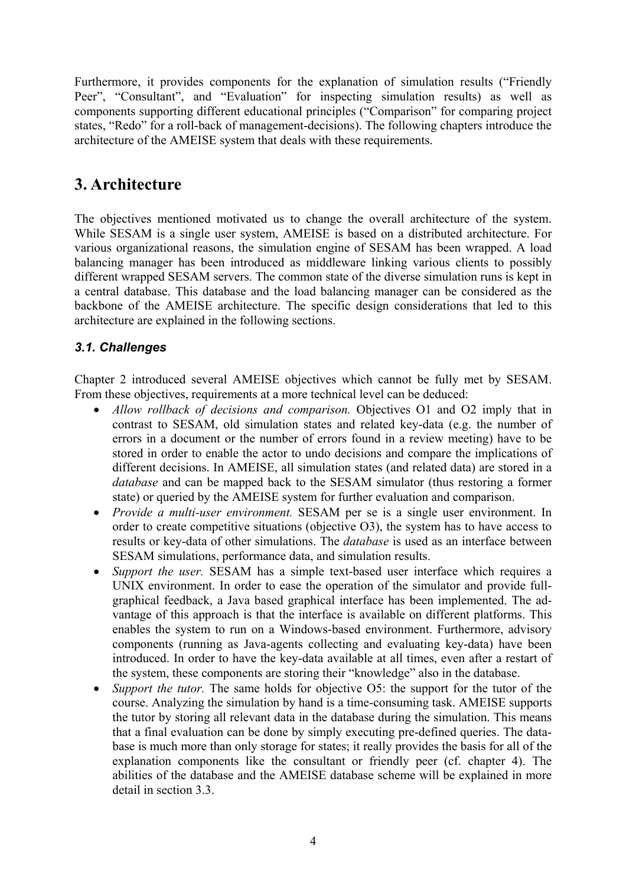Furthermore, it provides components for the explanation of simulation results ("Friendly Peer", "Consultant", and "Evaluation" for inspecting simulation results) as well as components supporting different educational principles ("Comparison" for comparing project states, "Redo" for a roll-back of management-decisions). The following chapters introduce the architecture of the AMEISE system that deals with these requirements.

# **3. Architecture**

The objectives mentioned motivated us to change the overall architecture of the system. While SESAM is a single user system, AMEISE is based on a distributed architecture. For various organizational reasons, the simulation engine of SESAM has been wrapped. A load balancing manager has been introduced as middleware linking various clients to possibly different wrapped SESAM servers. The common state of the diverse simulation runs is kept in a central database. This database and the load balancing manager can be considered as the backbone of the AMEISE architecture. The specific design considerations that led to this architecture are explained in the following sections.

### *3.1. Challenges*

Chapter 2 introduced several AMEISE objectives which cannot be fully met by SESAM. From these objectives, requirements at a more technical level can be deduced:

- *Allow rollback of decisions and comparison.* Objectives O1 and O2 imply that in contrast to SESAM, old simulation states and related key-data (e.g. the number of errors in a document or the number of errors found in a review meeting) have to be stored in order to enable the actor to undo decisions and compare the implications of different decisions. In AMEISE, all simulation states (and related data) are stored in a *database* and can be mapped back to the SESAM simulator (thus restoring a former state) or queried by the AMEISE system for further evaluation and comparison.
- *Provide a multi-user environment.* SESAM per se is a single user environment. In order to create competitive situations (objective O3), the system has to have access to results or key-data of other simulations. The *database* is used as an interface between SESAM simulations, performance data, and simulation results.
- *Support the user.* SESAM has a simple text-based user interface which requires a UNIX environment. In order to ease the operation of the simulator and provide fullgraphical feedback, a Java based graphical interface has been implemented. The advantage of this approach is that the interface is available on different platforms. This enables the system to run on a Windows-based environment. Furthermore, advisory components (running as Java-agents collecting and evaluating key-data) have been introduced. In order to have the key-data available at all times, even after a restart of the system, these components are storing their "knowledge" also in the database.
- *Support the tutor*. The same holds for objective O5: the support for the tutor of the course. Analyzing the simulation by hand is a time-consuming task. AMEISE supports the tutor by storing all relevant data in the database during the simulation. This means that a final evaluation can be done by simply executing pre-defined queries. The database is much more than only storage for states; it really provides the basis for all of the explanation components like the consultant or friendly peer (cf. chapter 4). The abilities of the database and the AMEISE database scheme will be explained in more detail in section 3.3.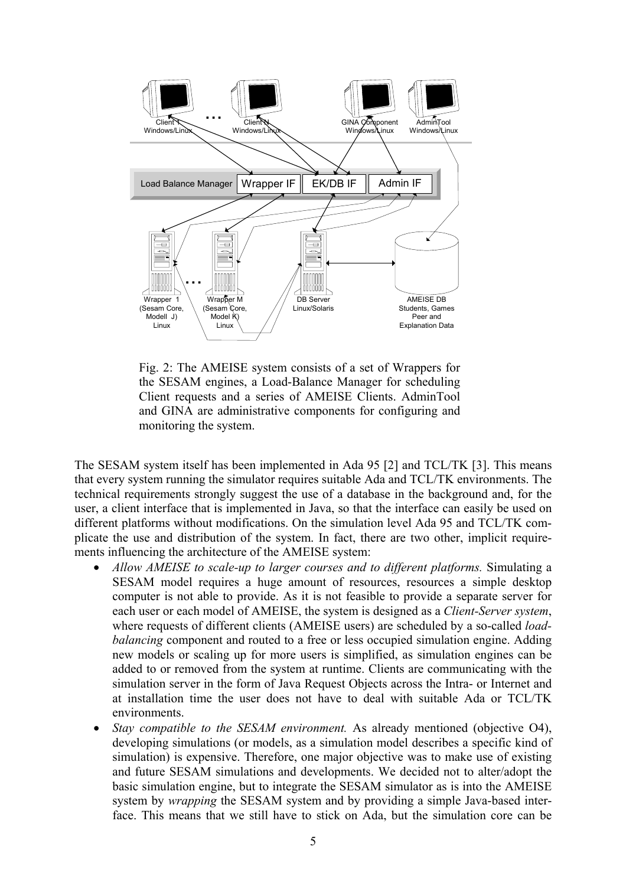

Fig. 2: The AMEISE system consists of a set of Wrappers for the SESAM engines, a Load-Balance Manager for scheduling Client requests and a series of AMEISE Clients. AdminTool and GINA are administrative components for configuring and monitoring the system.

The SESAM system itself has been implemented in Ada 95 [2] and TCL/TK [3]. This means that every system running the simulator requires suitable Ada and TCL/TK environments. The technical requirements strongly suggest the use of a database in the background and, for the user, a client interface that is implemented in Java, so that the interface can easily be used on different platforms without modifications. On the simulation level Ada 95 and TCL/TK complicate the use and distribution of the system. In fact, there are two other, implicit requirements influencing the architecture of the AMEISE system:

- *Allow AMEISE to scale-up to larger courses and to different platforms.* Simulating a SESAM model requires a huge amount of resources, resources a simple desktop computer is not able to provide. As it is not feasible to provide a separate server for each user or each model of AMEISE, the system is designed as a *Client-Server system*, where requests of different clients (AMEISE users) are scheduled by a so-called *loadbalancing* component and routed to a free or less occupied simulation engine. Adding new models or scaling up for more users is simplified, as simulation engines can be added to or removed from the system at runtime. Clients are communicating with the simulation server in the form of Java Request Objects across the Intra- or Internet and at installation time the user does not have to deal with suitable Ada or TCL/TK environments.
- *Stay compatible to the SESAM environment.* As already mentioned (objective O4), developing simulations (or models, as a simulation model describes a specific kind of simulation) is expensive. Therefore, one major objective was to make use of existing and future SESAM simulations and developments. We decided not to alter/adopt the basic simulation engine, but to integrate the SESAM simulator as is into the AMEISE system by *wrapping* the SESAM system and by providing a simple Java-based interface. This means that we still have to stick on Ada, but the simulation core can be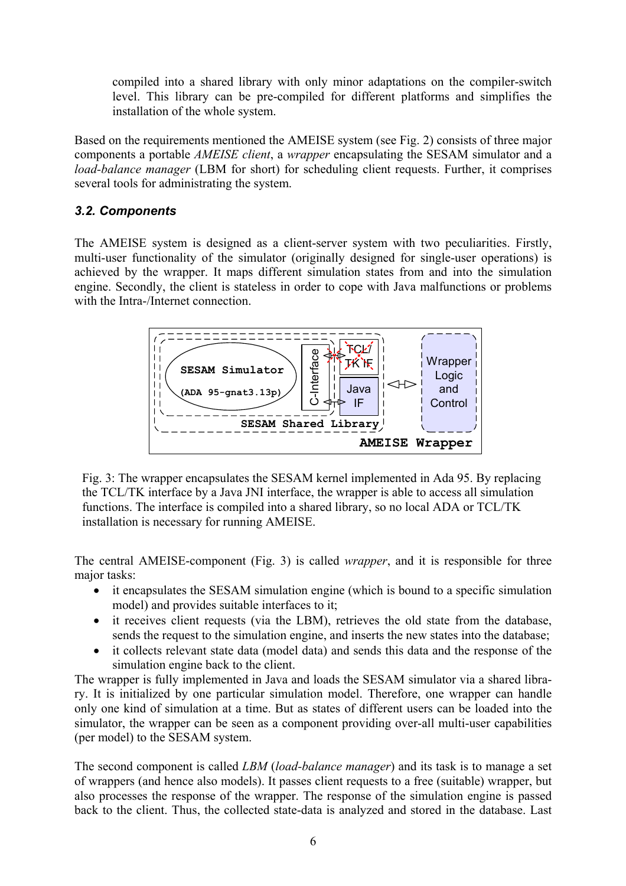compiled into a shared library with only minor adaptations on the compiler-switch level. This library can be pre-compiled for different platforms and simplifies the installation of the whole system.

Based on the requirements mentioned the AMEISE system (see Fig. 2) consists of three major components a portable *AMEISE client*, a *wrapper* encapsulating the SESAM simulator and a *load-balance manager* (LBM for short) for scheduling client requests. Further, it comprises several tools for administrating the system.

#### *3.2. Components*

The AMEISE system is designed as a client-server system with two peculiarities. Firstly, multi-user functionality of the simulator (originally designed for single-user operations) is achieved by the wrapper. It maps different simulation states from and into the simulation engine. Secondly, the client is stateless in order to cope with Java malfunctions or problems with the Intra-/Internet connection.



Fig. 3: The wrapper encapsulates the SESAM kernel implemented in Ada 95. By replacing the TCL/TK interface by a Java JNI interface, the wrapper is able to access all simulation functions. The interface is compiled into a shared library, so no local ADA or TCL/TK installation is necessary for running AMEISE.

The central AMEISE-component (Fig. 3) is called *wrapper*, and it is responsible for three major tasks:

- it encapsulates the SESAM simulation engine (which is bound to a specific simulation model) and provides suitable interfaces to it;
- it receives client requests (via the LBM), retrieves the old state from the database, sends the request to the simulation engine, and inserts the new states into the database;
- it collects relevant state data (model data) and sends this data and the response of the simulation engine back to the client.

The wrapper is fully implemented in Java and loads the SESAM simulator via a shared library. It is initialized by one particular simulation model. Therefore, one wrapper can handle only one kind of simulation at a time. But as states of different users can be loaded into the simulator, the wrapper can be seen as a component providing over-all multi-user capabilities (per model) to the SESAM system.

The second component is called *LBM* (*load-balance manager*) and its task is to manage a set of wrappers (and hence also models). It passes client requests to a free (suitable) wrapper, but also processes the response of the wrapper. The response of the simulation engine is passed back to the client. Thus, the collected state-data is analyzed and stored in the database. Last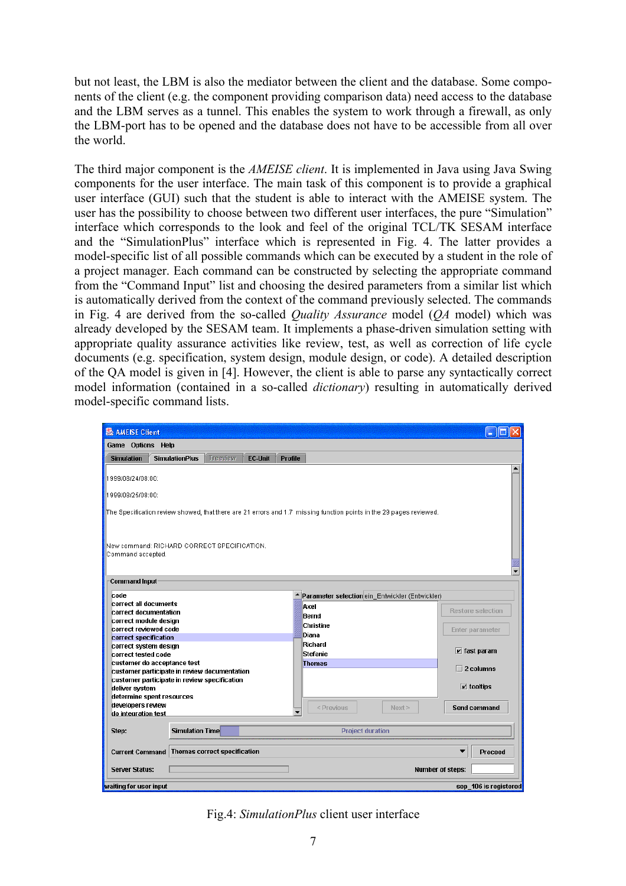but not least, the LBM is also the mediator between the client and the database. Some components of the client (e.g. the component providing comparison data) need access to the database and the LBM serves as a tunnel. This enables the system to work through a firewall, as only the LBM-port has to be opened and the database does not have to be accessible from all over the world.

The third major component is the *AMEISE client*. It is implemented in Java using Java Swing components for the user interface. The main task of this component is to provide a graphical user interface (GUI) such that the student is able to interact with the AMEISE system. The user has the possibility to choose between two different user interfaces, the pure "Simulation" interface which corresponds to the look and feel of the original TCL/TK SESAM interface and the "SimulationPlus" interface which is represented in Fig. 4. The latter provides a model-specific list of all possible commands which can be executed by a student in the role of a project manager. Each command can be constructed by selecting the appropriate command from the "Command Input" list and choosing the desired parameters from a similar list which is automatically derived from the context of the command previously selected. The commands in Fig. 4 are derived from the so-called *Quality Assurance* model (*QA* model) which was already developed by the SESAM team. It implements a phase-driven simulation setting with appropriate quality assurance activities like review, test, as well as correction of life cycle documents (e.g. specification, system design, module design, or code). A detailed description of the QA model is given in [4]. However, the client is able to parse any syntactically correct model information (contained in a so-called *dictionary*) resulting in automatically derived model-specific command lists.

| <b>&amp; AMEISE Client</b>                                                                                          |                                     |                |                |                                                 |                  | <b>Participate</b>            |  |
|---------------------------------------------------------------------------------------------------------------------|-------------------------------------|----------------|----------------|-------------------------------------------------|------------------|-------------------------------|--|
| Game Options Help                                                                                                   |                                     |                |                |                                                 |                  |                               |  |
| <b>SimulationPlus</b><br><b>Simulation</b>                                                                          | Treeview                            | <b>EC-Unit</b> | <b>Profile</b> |                                                 |                  |                               |  |
| 1999/08/24/08:00:                                                                                                   |                                     |                |                |                                                 |                  |                               |  |
|                                                                                                                     |                                     |                |                |                                                 |                  |                               |  |
| 1999/08/25/08:00:                                                                                                   |                                     |                |                |                                                 |                  |                               |  |
| The Specification review showed, that there are 21 errors and 1.7 missing function points in the 29 pages reviewed. |                                     |                |                |                                                 |                  |                               |  |
|                                                                                                                     |                                     |                |                |                                                 |                  |                               |  |
|                                                                                                                     |                                     |                |                |                                                 |                  |                               |  |
| New command: RICHARD CORRECT SPECIFICATION.<br>Command accepted.                                                    |                                     |                |                |                                                 |                  |                               |  |
|                                                                                                                     |                                     |                |                |                                                 |                  |                               |  |
|                                                                                                                     |                                     |                |                |                                                 |                  |                               |  |
| <b>Command Input</b>                                                                                                |                                     |                |                |                                                 |                  |                               |  |
| code                                                                                                                |                                     |                |                | Parameter selection ein_Entwickler (Entwickler) |                  |                               |  |
| icorrect all documents<br>correct documentation                                                                     |                                     |                |                | Axel                                            |                  | <b>Restore selection</b>      |  |
| correct module design                                                                                               |                                     |                |                | Bernd                                           |                  |                               |  |
| correct reviewed code                                                                                               |                                     |                |                | Christine                                       |                  | Enter parameter               |  |
| correct specification                                                                                               |                                     |                |                | Diana                                           |                  |                               |  |
| correct system design                                                                                               |                                     |                |                | Richard                                         |                  | $\triangleright$ fast param   |  |
| correct tested code                                                                                                 |                                     |                |                | Stefanie                                        |                  |                               |  |
| customer do acceptance test                                                                                         |                                     |                | <b>Thomas</b>  |                                                 | $\Box$ 2 columns |                               |  |
| customer participate in review documentation                                                                        |                                     |                |                |                                                 |                  |                               |  |
| customer participate in review specification                                                                        |                                     |                |                |                                                 |                  |                               |  |
| deliver system                                                                                                      |                                     |                |                |                                                 |                  | $\boxed{\mathbf{r}}$ tooltips |  |
| determine spent resources                                                                                           |                                     |                |                |                                                 |                  |                               |  |
| developers review<br>do integration test                                                                            |                                     |                |                | < Previous                                      | Next >           | Send command                  |  |
|                                                                                                                     |                                     |                |                |                                                 |                  |                               |  |
| Step:                                                                                                               | Simulation Time                     |                |                | <b>Project duration</b>                         |                  |                               |  |
| <b>Current Command</b>                                                                                              | <b>Thomas correct specification</b> |                |                |                                                 |                  | <b>Proceed</b>                |  |
|                                                                                                                     |                                     |                |                |                                                 |                  |                               |  |
| <b>Server Status:</b>                                                                                               |                                     |                |                |                                                 |                  | <b>Number of steps:</b>       |  |
| waiting for user innut                                                                                              |                                     |                |                |                                                 |                  | sen 106 is registered         |  |

Fig.4: *SimulationPlus* client user interface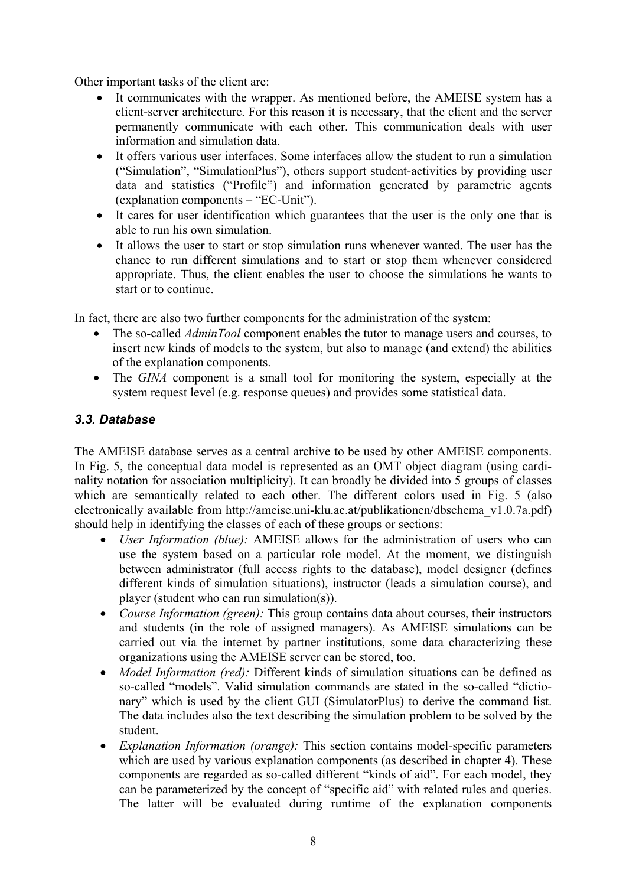Other important tasks of the client are:

- It communicates with the wrapper. As mentioned before, the AMEISE system has a client-server architecture. For this reason it is necessary, that the client and the server permanently communicate with each other. This communication deals with user information and simulation data.
- It offers various user interfaces. Some interfaces allow the student to run a simulation ("Simulation", "SimulationPlus"), others support student-activities by providing user data and statistics ("Profile") and information generated by parametric agents (explanation components – "EC-Unit").
- It cares for user identification which guarantees that the user is the only one that is able to run his own simulation.
- It allows the user to start or stop simulation runs whenever wanted. The user has the chance to run different simulations and to start or stop them whenever considered appropriate. Thus, the client enables the user to choose the simulations he wants to start or to continue.

In fact, there are also two further components for the administration of the system:

- The so-called *AdminTool* component enables the tutor to manage users and courses, to insert new kinds of models to the system, but also to manage (and extend) the abilities of the explanation components.
- The *GINA* component is a small tool for monitoring the system, especially at the system request level (e.g. response queues) and provides some statistical data.

#### *3.3. Database*

The AMEISE database serves as a central archive to be used by other AMEISE components. In Fig. 5, the conceptual data model is represented as an OMT object diagram (using cardinality notation for association multiplicity). It can broadly be divided into 5 groups of classes which are semantically related to each other. The different colors used in Fig. 5 (also electronically available from http://ameise.uni-klu.ac.at/publikationen/dbschema\_v1.0.7a.pdf) should help in identifying the classes of each of these groups or sections:

- *User Information (blue):* AMEISE allows for the administration of users who can use the system based on a particular role model. At the moment, we distinguish between administrator (full access rights to the database), model designer (defines different kinds of simulation situations), instructor (leads a simulation course), and player (student who can run simulation(s)).
- *Course Information (green):* This group contains data about courses, their instructors and students (in the role of assigned managers). As AMEISE simulations can be carried out via the internet by partner institutions, some data characterizing these organizations using the AMEISE server can be stored, too.
- *Model Information (red)*: Different kinds of simulation situations can be defined as so-called "models". Valid simulation commands are stated in the so-called "dictionary" which is used by the client GUI (SimulatorPlus) to derive the command list. The data includes also the text describing the simulation problem to be solved by the student.
- *Explanation Information (orange):* This section contains model-specific parameters which are used by various explanation components (as described in chapter 4). These components are regarded as so-called different "kinds of aid". For each model, they can be parameterized by the concept of "specific aid" with related rules and queries. The latter will be evaluated during runtime of the explanation components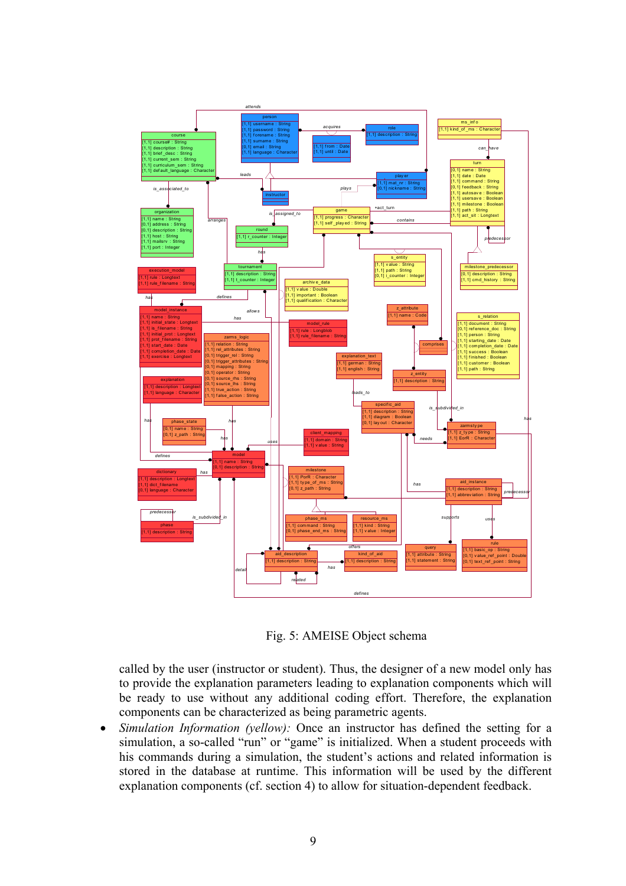

Fig. 5: AMEISE Object schema

called by the user (instructor or student). Thus, the designer of a new model only has to provide the explanation parameters leading to explanation components which will be ready to use without any additional coding effort. Therefore, the explanation components can be characterized as being parametric agents.

• *Simulation Information (yellow):* Once an instructor has defined the setting for a simulation, a so-called "run" or "game" is initialized. When a student proceeds with his commands during a simulation, the student's actions and related information is stored in the database at runtime. This information will be used by the different explanation components (cf. section 4) to allow for situation-dependent feedback.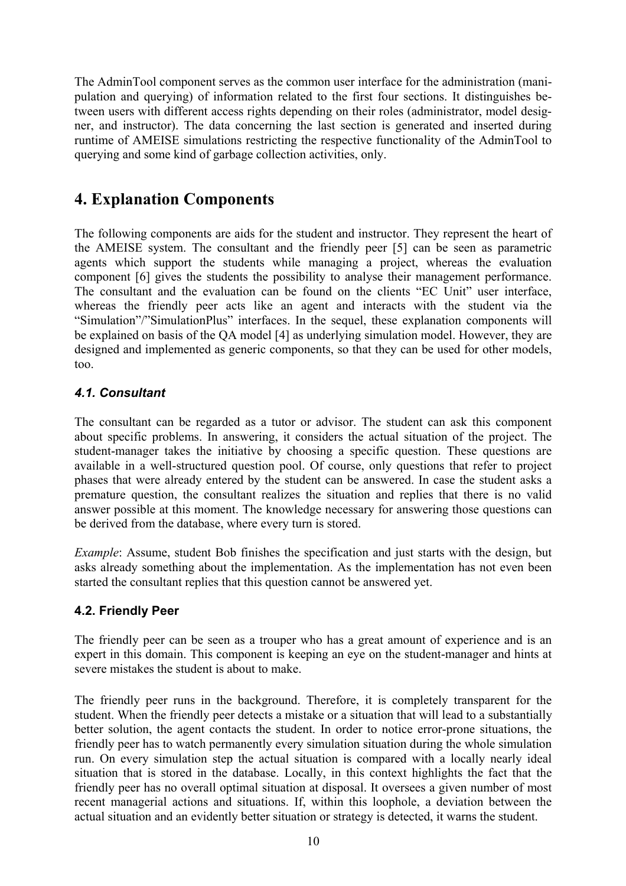The AdminTool component serves as the common user interface for the administration (manipulation and querying) of information related to the first four sections. It distinguishes between users with different access rights depending on their roles (administrator, model designer, and instructor). The data concerning the last section is generated and inserted during runtime of AMEISE simulations restricting the respective functionality of the AdminTool to querying and some kind of garbage collection activities, only.

### **4. Explanation Components**

The following components are aids for the student and instructor. They represent the heart of the AMEISE system. The consultant and the friendly peer [5] can be seen as parametric agents which support the students while managing a project, whereas the evaluation component [6] gives the students the possibility to analyse their management performance. The consultant and the evaluation can be found on the clients "EC Unit" user interface, whereas the friendly peer acts like an agent and interacts with the student via the "Simulation"/"SimulationPlus" interfaces. In the sequel, these explanation components will be explained on basis of the QA model [4] as underlying simulation model. However, they are designed and implemented as generic components, so that they can be used for other models, too.

#### *4.1. Consultant*

The consultant can be regarded as a tutor or advisor. The student can ask this component about specific problems. In answering, it considers the actual situation of the project. The student-manager takes the initiative by choosing a specific question. These questions are available in a well-structured question pool. Of course, only questions that refer to project phases that were already entered by the student can be answered. In case the student asks a premature question, the consultant realizes the situation and replies that there is no valid answer possible at this moment. The knowledge necessary for answering those questions can be derived from the database, where every turn is stored.

*Example*: Assume, student Bob finishes the specification and just starts with the design, but asks already something about the implementation. As the implementation has not even been started the consultant replies that this question cannot be answered yet.

#### **4.2. Friendly Peer**

The friendly peer can be seen as a trouper who has a great amount of experience and is an expert in this domain. This component is keeping an eye on the student-manager and hints at severe mistakes the student is about to make.

The friendly peer runs in the background. Therefore, it is completely transparent for the student. When the friendly peer detects a mistake or a situation that will lead to a substantially better solution, the agent contacts the student. In order to notice error-prone situations, the friendly peer has to watch permanently every simulation situation during the whole simulation run. On every simulation step the actual situation is compared with a locally nearly ideal situation that is stored in the database. Locally, in this context highlights the fact that the friendly peer has no overall optimal situation at disposal. It oversees a given number of most recent managerial actions and situations. If, within this loophole, a deviation between the actual situation and an evidently better situation or strategy is detected, it warns the student.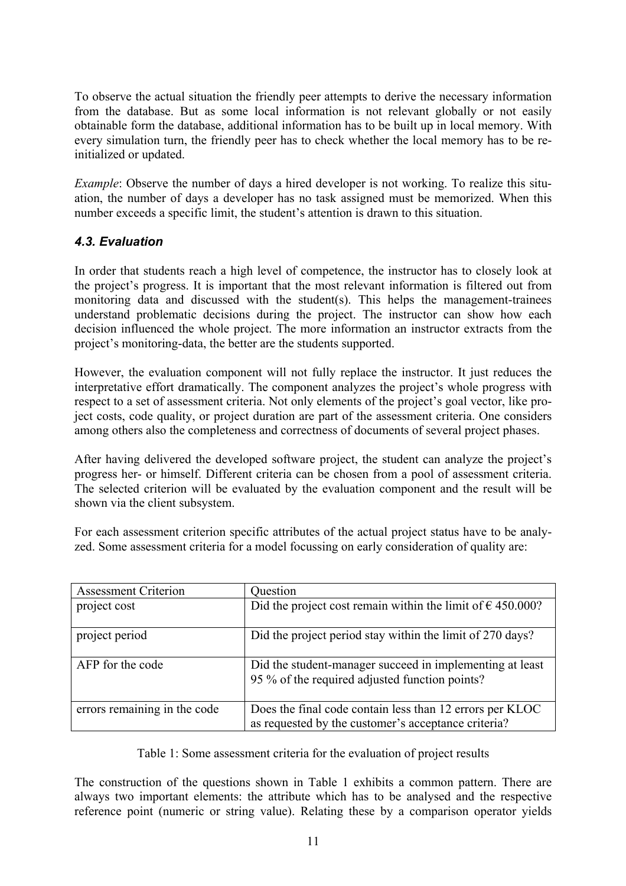To observe the actual situation the friendly peer attempts to derive the necessary information from the database. But as some local information is not relevant globally or not easily obtainable form the database, additional information has to be built up in local memory. With every simulation turn, the friendly peer has to check whether the local memory has to be reinitialized or updated.

*Example*: Observe the number of days a hired developer is not working. To realize this situation, the number of days a developer has no task assigned must be memorized. When this number exceeds a specific limit, the student's attention is drawn to this situation.

#### *4.3. Evaluation*

In order that students reach a high level of competence, the instructor has to closely look at the project's progress. It is important that the most relevant information is filtered out from monitoring data and discussed with the student(s). This helps the management-trainees understand problematic decisions during the project. The instructor can show how each decision influenced the whole project. The more information an instructor extracts from the project's monitoring-data, the better are the students supported.

However, the evaluation component will not fully replace the instructor. It just reduces the interpretative effort dramatically. The component analyzes the project's whole progress with respect to a set of assessment criteria. Not only elements of the project's goal vector, like project costs, code quality, or project duration are part of the assessment criteria. One considers among others also the completeness and correctness of documents of several project phases.

After having delivered the developed software project, the student can analyze the project's progress her- or himself. Different criteria can be chosen from a pool of assessment criteria. The selected criterion will be evaluated by the evaluation component and the result will be shown via the client subsystem.

For each assessment criterion specific attributes of the actual project status have to be analyzed. Some assessment criteria for a model focussing on early consideration of quality are:

| <b>Assessment Criterion</b>  | Question                                                                                                        |  |  |
|------------------------------|-----------------------------------------------------------------------------------------------------------------|--|--|
| project cost                 | Did the project cost remain within the limit of $\epsilon$ 450.000?                                             |  |  |
| project period               | Did the project period stay within the limit of 270 days?                                                       |  |  |
| AFP for the code             | Did the student-manager succeed in implementing at least<br>95 % of the required adjusted function points?      |  |  |
| errors remaining in the code | Does the final code contain less than 12 errors per KLOC<br>as requested by the customer's acceptance criteria? |  |  |

Table 1: Some assessment criteria for the evaluation of project results

The construction of the questions shown in Table 1 exhibits a common pattern. There are always two important elements: the attribute which has to be analysed and the respective reference point (numeric or string value). Relating these by a comparison operator yields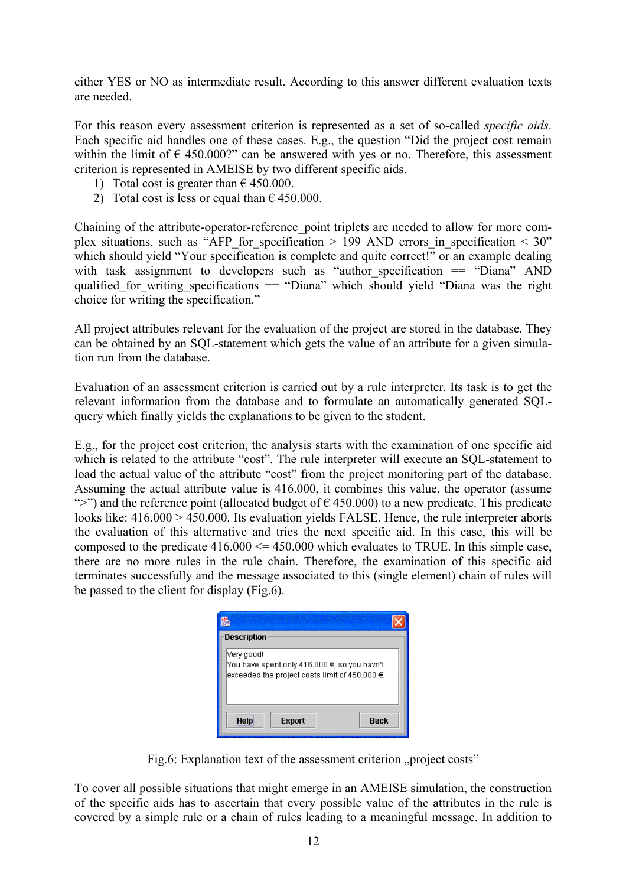either YES or NO as intermediate result. According to this answer different evaluation texts are needed.

For this reason every assessment criterion is represented as a set of so-called *specific aids*. Each specific aid handles one of these cases. E.g., the question "Did the project cost remain within the limit of  $\epsilon$  450.000?" can be answered with yes or no. Therefore, this assessment criterion is represented in AMEISE by two different specific aids.

- 1) Total cost is greater than  $\epsilon$  450.000.
- 2) Total cost is less or equal than  $\epsilon$  450.000.

Chaining of the attribute-operator-reference\_point triplets are needed to allow for more complex situations, such as "AFP\_for\_specification > 199 AND errors in\_specification < 30" which should yield "Your specification is complete and quite correct!" or an example dealing with task assignment to developers such as "author\_specification == "Diana" AND qualified for writing specifications  $=$  "Diana" which should yield "Diana was the right choice for writing the specification."

All project attributes relevant for the evaluation of the project are stored in the database. They can be obtained by an SQL-statement which gets the value of an attribute for a given simulation run from the database.

Evaluation of an assessment criterion is carried out by a rule interpreter. Its task is to get the relevant information from the database and to formulate an automatically generated SQLquery which finally yields the explanations to be given to the student.

E.g., for the project cost criterion, the analysis starts with the examination of one specific aid which is related to the attribute "cost". The rule interpreter will execute an SQL-statement to load the actual value of the attribute "cost" from the project monitoring part of the database. Assuming the actual attribute value is 416.000, it combines this value, the operator (assume ">") and the reference point (allocated budget of  $\epsilon$  450.000) to a new predicate. This predicate looks like:  $416.000 > 450.000$ . Its evaluation yields FALSE. Hence, the rule interpreter aborts the evaluation of this alternative and tries the next specific aid. In this case, this will be composed to the predicate  $416.000 \le 450.000$  which evaluates to TRUE. In this simple case, there are no more rules in the rule chain. Therefore, the examination of this specific aid terminates successfully and the message associated to this (single element) chain of rules will be passed to the client for display (Fig.6).

| Description                                                                                                     |
|-----------------------------------------------------------------------------------------------------------------|
| Nery good!<br>You have spent only 416.000 €, so you havn't<br>exceeded the project costs limit of 450.000 $\in$ |
| <b>Help</b><br>Back<br><b>Export</b>                                                                            |

Fig.6: Explanation text of the assessment criterion "project costs"

To cover all possible situations that might emerge in an AMEISE simulation, the construction of the specific aids has to ascertain that every possible value of the attributes in the rule is covered by a simple rule or a chain of rules leading to a meaningful message. In addition to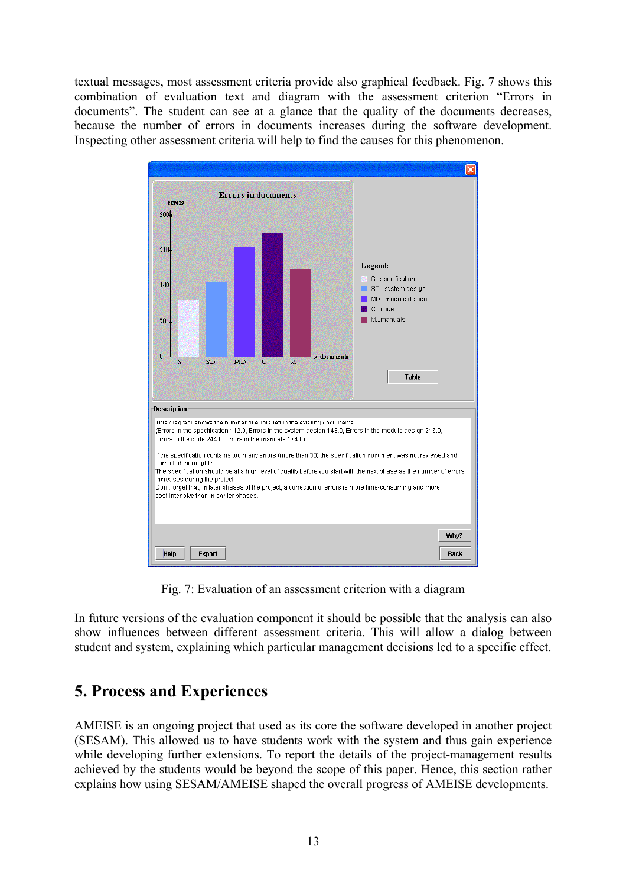textual messages, most assessment criteria provide also graphical feedback. Fig. 7 shows this combination of evaluation text and diagram with the assessment criterion "Errors in documents". The student can see at a glance that the quality of the documents decreases, because the number of errors in documents increases during the software development. Inspecting other assessment criteria will help to find the causes for this phenomenon.



Fig. 7: Evaluation of an assessment criterion with a diagram

In future versions of the evaluation component it should be possible that the analysis can also show influences between different assessment criteria. This will allow a dialog between student and system, explaining which particular management decisions led to a specific effect.

### **5. Process and Experiences**

AMEISE is an ongoing project that used as its core the software developed in another project (SESAM). This allowed us to have students work with the system and thus gain experience while developing further extensions. To report the details of the project-management results achieved by the students would be beyond the scope of this paper. Hence, this section rather explains how using SESAM/AMEISE shaped the overall progress of AMEISE developments.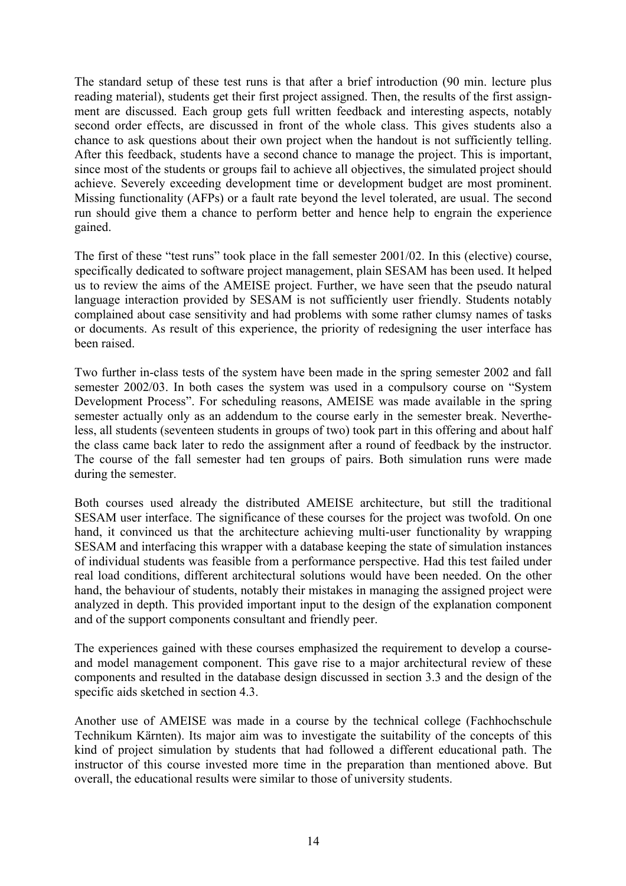The standard setup of these test runs is that after a brief introduction (90 min. lecture plus reading material), students get their first project assigned. Then, the results of the first assignment are discussed. Each group gets full written feedback and interesting aspects, notably second order effects, are discussed in front of the whole class. This gives students also a chance to ask questions about their own project when the handout is not sufficiently telling. After this feedback, students have a second chance to manage the project. This is important, since most of the students or groups fail to achieve all objectives, the simulated project should achieve. Severely exceeding development time or development budget are most prominent. Missing functionality (AFPs) or a fault rate beyond the level tolerated, are usual. The second run should give them a chance to perform better and hence help to engrain the experience gained.

The first of these "test runs" took place in the fall semester 2001/02. In this (elective) course, specifically dedicated to software project management, plain SESAM has been used. It helped us to review the aims of the AMEISE project. Further, we have seen that the pseudo natural language interaction provided by SESAM is not sufficiently user friendly. Students notably complained about case sensitivity and had problems with some rather clumsy names of tasks or documents. As result of this experience, the priority of redesigning the user interface has been raised.

Two further in-class tests of the system have been made in the spring semester 2002 and fall semester 2002/03. In both cases the system was used in a compulsory course on "System Development Process". For scheduling reasons, AMEISE was made available in the spring semester actually only as an addendum to the course early in the semester break. Nevertheless, all students (seventeen students in groups of two) took part in this offering and about half the class came back later to redo the assignment after a round of feedback by the instructor. The course of the fall semester had ten groups of pairs. Both simulation runs were made during the semester.

Both courses used already the distributed AMEISE architecture, but still the traditional SESAM user interface. The significance of these courses for the project was twofold. On one hand, it convinced us that the architecture achieving multi-user functionality by wrapping SESAM and interfacing this wrapper with a database keeping the state of simulation instances of individual students was feasible from a performance perspective. Had this test failed under real load conditions, different architectural solutions would have been needed. On the other hand, the behaviour of students, notably their mistakes in managing the assigned project were analyzed in depth. This provided important input to the design of the explanation component and of the support components consultant and friendly peer.

The experiences gained with these courses emphasized the requirement to develop a courseand model management component. This gave rise to a major architectural review of these components and resulted in the database design discussed in section 3.3 and the design of the specific aids sketched in section 4.3.

Another use of AMEISE was made in a course by the technical college (Fachhochschule Technikum Kärnten). Its major aim was to investigate the suitability of the concepts of this kind of project simulation by students that had followed a different educational path. The instructor of this course invested more time in the preparation than mentioned above. But overall, the educational results were similar to those of university students.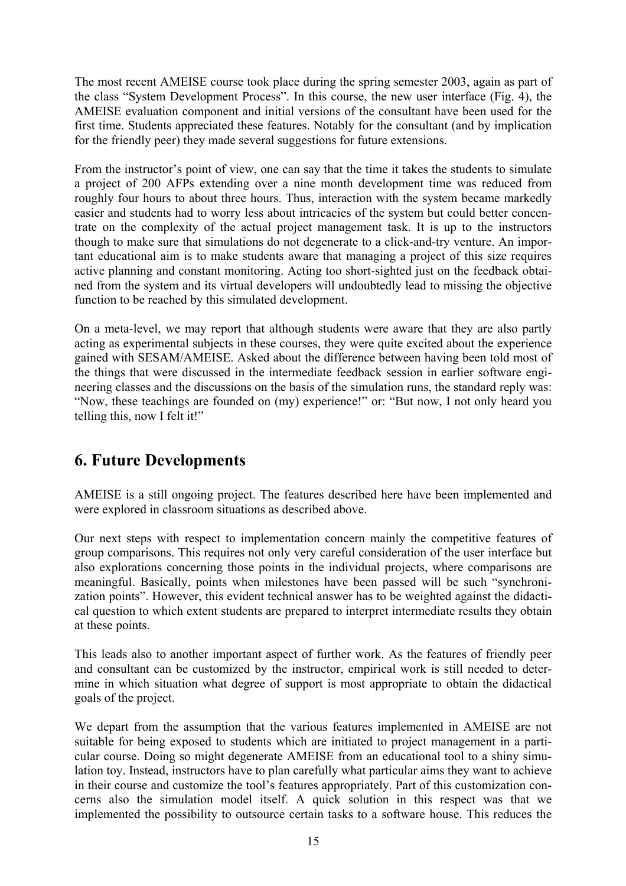The most recent AMEISE course took place during the spring semester 2003, again as part of the class "System Development Process". In this course, the new user interface (Fig. 4), the AMEISE evaluation component and initial versions of the consultant have been used for the first time. Students appreciated these features. Notably for the consultant (and by implication for the friendly peer) they made several suggestions for future extensions.

From the instructor's point of view, one can say that the time it takes the students to simulate a project of 200 AFPs extending over a nine month development time was reduced from roughly four hours to about three hours. Thus, interaction with the system became markedly easier and students had to worry less about intricacies of the system but could better concentrate on the complexity of the actual project management task. It is up to the instructors though to make sure that simulations do not degenerate to a click-and-try venture. An important educational aim is to make students aware that managing a project of this size requires active planning and constant monitoring. Acting too short-sighted just on the feedback obtained from the system and its virtual developers will undoubtedly lead to missing the objective function to be reached by this simulated development.

On a meta-level, we may report that although students were aware that they are also partly acting as experimental subjects in these courses, they were quite excited about the experience gained with SESAM/AMEISE. Asked about the difference between having been told most of the things that were discussed in the intermediate feedback session in earlier software engineering classes and the discussions on the basis of the simulation runs, the standard reply was: "Now, these teachings are founded on (my) experience!" or: "But now, I not only heard you telling this, now I felt it!"

## **6. Future Developments**

AMEISE is a still ongoing project. The features described here have been implemented and were explored in classroom situations as described above.

Our next steps with respect to implementation concern mainly the competitive features of group comparisons. This requires not only very careful consideration of the user interface but also explorations concerning those points in the individual projects, where comparisons are meaningful. Basically, points when milestones have been passed will be such "synchronization points". However, this evident technical answer has to be weighted against the didactical question to which extent students are prepared to interpret intermediate results they obtain at these points.

This leads also to another important aspect of further work. As the features of friendly peer and consultant can be customized by the instructor, empirical work is still needed to determine in which situation what degree of support is most appropriate to obtain the didactical goals of the project.

We depart from the assumption that the various features implemented in AMEISE are not suitable for being exposed to students which are initiated to project management in a particular course. Doing so might degenerate AMEISE from an educational tool to a shiny simulation toy. Instead, instructors have to plan carefully what particular aims they want to achieve in their course and customize the tool's features appropriately. Part of this customization concerns also the simulation model itself. A quick solution in this respect was that we implemented the possibility to outsource certain tasks to a software house. This reduces the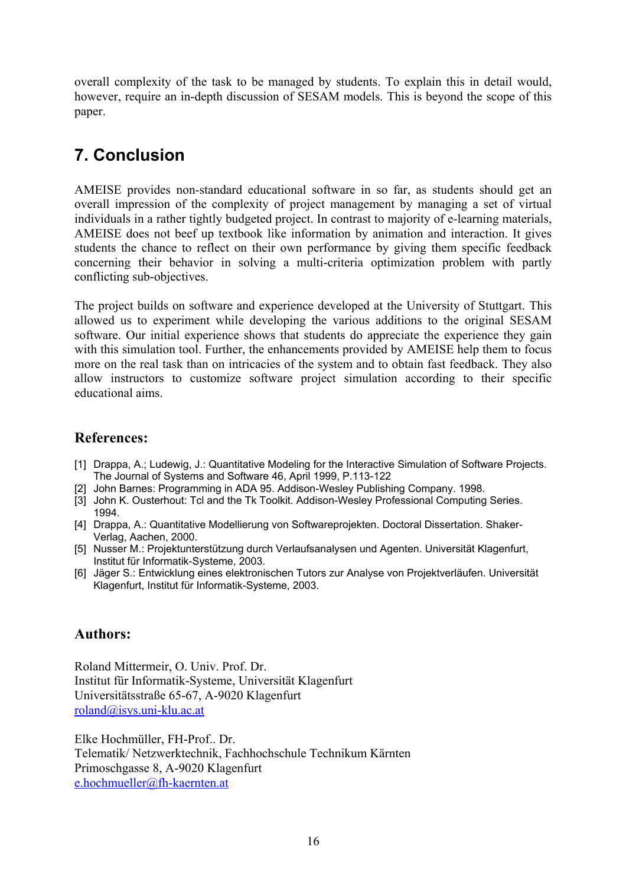overall complexity of the task to be managed by students. To explain this in detail would, however, require an in-depth discussion of SESAM models. This is beyond the scope of this paper.

# **7. Conclusion**

AMEISE provides non-standard educational software in so far, as students should get an overall impression of the complexity of project management by managing a set of virtual individuals in a rather tightly budgeted project. In contrast to majority of e-learning materials, AMEISE does not beef up textbook like information by animation and interaction. It gives students the chance to reflect on their own performance by giving them specific feedback concerning their behavior in solving a multi-criteria optimization problem with partly conflicting sub-objectives.

The project builds on software and experience developed at the University of Stuttgart. This allowed us to experiment while developing the various additions to the original SESAM software. Our initial experience shows that students do appreciate the experience they gain with this simulation tool. Further, the enhancements provided by AMEISE help them to focus more on the real task than on intricacies of the system and to obtain fast feedback. They also allow instructors to customize software project simulation according to their specific educational aims.

### **References:**

- [1] Drappa, A.; Ludewig, J.: Quantitative Modeling for the Interactive Simulation of Software Projects. The Journal of Systems and Software 46, April 1999, P.113-122
- [2] John Barnes: Programming in ADA 95. Addison-Wesley Publishing Company. 1998.
- [3] John K. Ousterhout: Tcl and the Tk Toolkit. Addison-Wesley Professional Computing Series. 1994.
- [4] Drappa, A.: Quantitative Modellierung von Softwareprojekten. Doctoral Dissertation. Shaker-Verlag, Aachen, 2000.
- [5] Nusser M.: Projektunterstützung durch Verlaufsanalysen und Agenten. Universität Klagenfurt, Institut für Informatik-Systeme, 2003.
- [6] Jäger S.: Entwicklung eines elektronischen Tutors zur Analyse von Projektverläufen. Universität Klagenfurt, Institut für Informatik-Systeme, 2003.

### **Authors:**

Roland Mittermeir, O. Univ. Prof. Dr. Institut für Informatik-Systeme, Universität Klagenfurt Universitätsstraße 65-67, A-9020 Klagenfurt roland@isys.uni-klu.ac.at

Elke Hochmüller, FH-Prof.. Dr. Telematik/ Netzwerktechnik, Fachhochschule Technikum Kärnten Primoschgasse 8, A-9020 Klagenfurt e.hochmueller@fh-kaernten.at